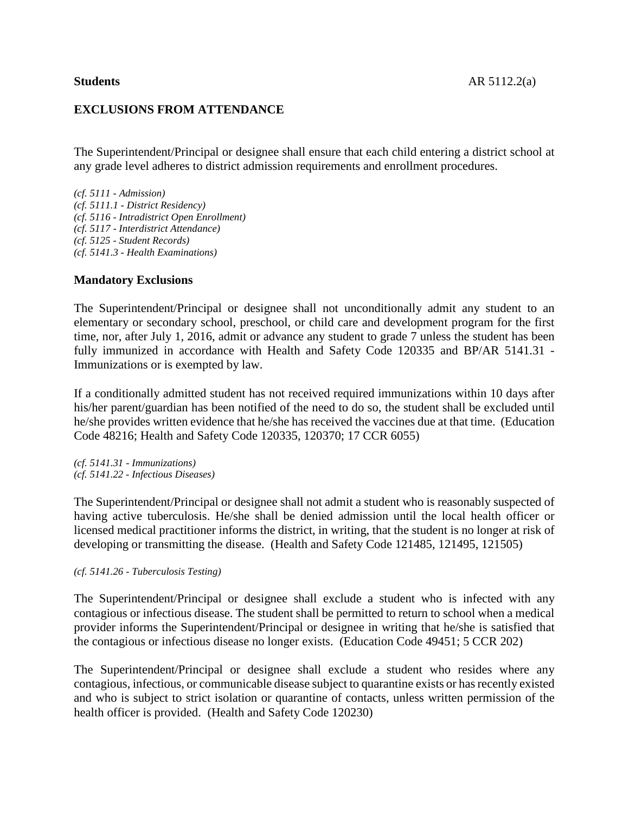## **EXCLUSIONS FROM ATTENDANCE**

The Superintendent/Principal or designee shall ensure that each child entering a district school at any grade level adheres to district admission requirements and enrollment procedures.

*(cf. 5111 - Admission) (cf. 5111.1 - District Residency) (cf. 5116 - Intradistrict Open Enrollment) (cf. 5117 - Interdistrict Attendance) (cf. 5125 - Student Records) (cf. 5141.3 - Health Examinations)*

#### **Mandatory Exclusions**

The Superintendent/Principal or designee shall not unconditionally admit any student to an elementary or secondary school, preschool, or child care and development program for the first time, nor, after July 1, 2016, admit or advance any student to grade 7 unless the student has been fully immunized in accordance with Health and Safety Code 120335 and BP/AR 5141.31 - Immunizations or is exempted by law.

If a conditionally admitted student has not received required immunizations within 10 days after his/her parent/guardian has been notified of the need to do so, the student shall be excluded until he/she provides written evidence that he/she has received the vaccines due at that time. (Education Code 48216; Health and Safety Code 120335, 120370; 17 CCR 6055)

*(cf. 5141.31 - Immunizations) (cf. 5141.22 - Infectious Diseases)*

The Superintendent/Principal or designee shall not admit a student who is reasonably suspected of having active tuberculosis. He/she shall be denied admission until the local health officer or licensed medical practitioner informs the district, in writing, that the student is no longer at risk of developing or transmitting the disease. (Health and Safety Code 121485, 121495, 121505)

*(cf. 5141.26 - Tuberculosis Testing)*

The Superintendent/Principal or designee shall exclude a student who is infected with any contagious or infectious disease. The student shall be permitted to return to school when a medical provider informs the Superintendent/Principal or designee in writing that he/she is satisfied that the contagious or infectious disease no longer exists. (Education Code 49451; 5 CCR 202)

The Superintendent/Principal or designee shall exclude a student who resides where any contagious, infectious, or communicable disease subject to quarantine exists or hasrecently existed and who is subject to strict isolation or quarantine of contacts, unless written permission of the health officer is provided. (Health and Safety Code 120230)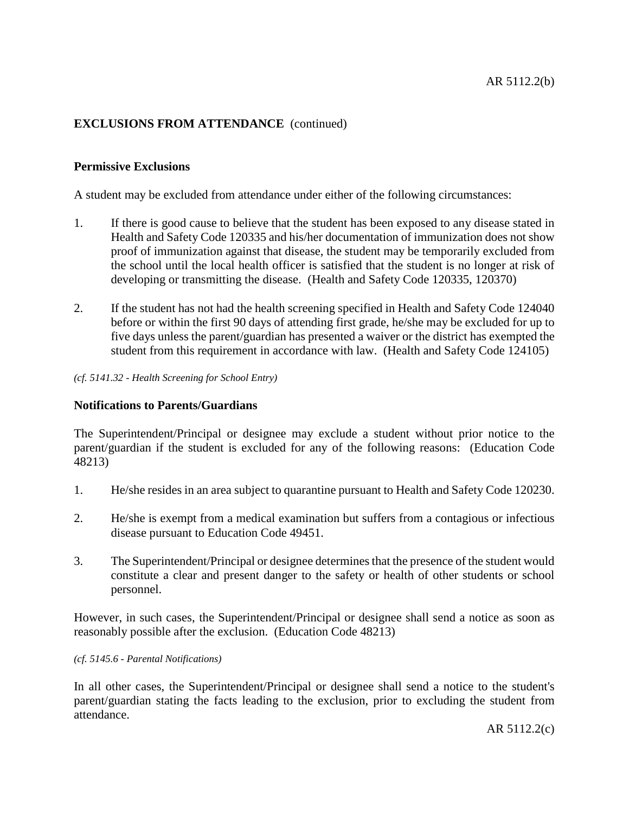# **EXCLUSIONS FROM ATTENDANCE** (continued)

# **Permissive Exclusions**

A student may be excluded from attendance under either of the following circumstances:

- 1. If there is good cause to believe that the student has been exposed to any disease stated in Health and Safety Code 120335 and his/her documentation of immunization does not show proof of immunization against that disease, the student may be temporarily excluded from the school until the local health officer is satisfied that the student is no longer at risk of developing or transmitting the disease. (Health and Safety Code 120335, 120370)
- 2. If the student has not had the health screening specified in Health and Safety Code 124040 before or within the first 90 days of attending first grade, he/she may be excluded for up to five days unless the parent/guardian has presented a waiver or the district has exempted the student from this requirement in accordance with law. (Health and Safety Code 124105)

*(cf. 5141.32 - Health Screening for School Entry)*

## **Notifications to Parents/Guardians**

The Superintendent/Principal or designee may exclude a student without prior notice to the parent/guardian if the student is excluded for any of the following reasons: (Education Code 48213)

- 1. He/she resides in an area subject to quarantine pursuant to Health and Safety Code 120230.
- 2. He/she is exempt from a medical examination but suffers from a contagious or infectious disease pursuant to Education Code 49451.
- 3. The Superintendent/Principal or designee determinesthat the presence of the student would constitute a clear and present danger to the safety or health of other students or school personnel.

However, in such cases, the Superintendent/Principal or designee shall send a notice as soon as reasonably possible after the exclusion. (Education Code 48213)

#### *(cf. 5145.6 - Parental Notifications)*

In all other cases, the Superintendent/Principal or designee shall send a notice to the student's parent/guardian stating the facts leading to the exclusion, prior to excluding the student from attendance.